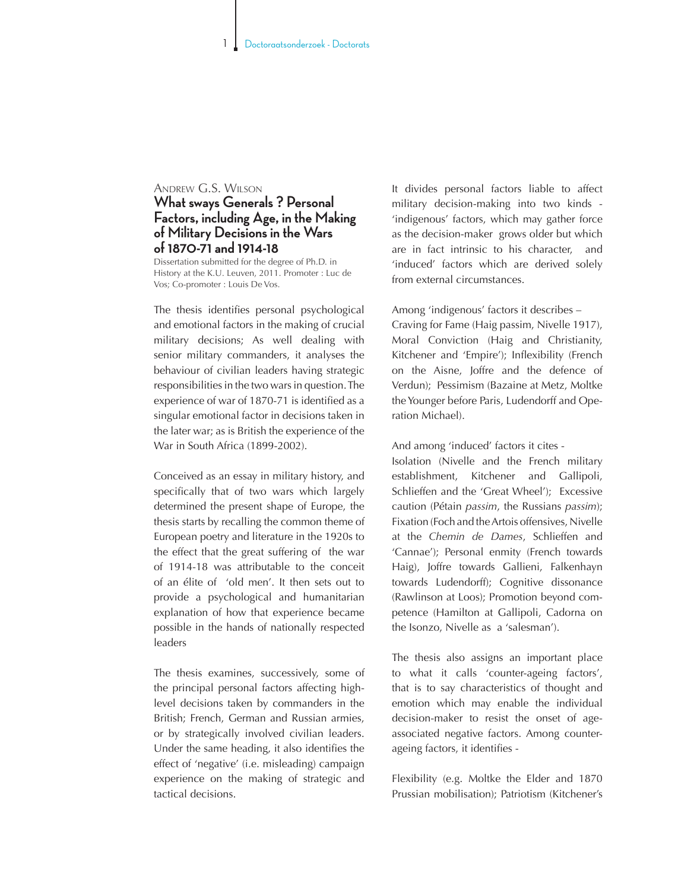## Andrew G.S. Wilson

## **What sways Generals ? Personal Factors, including Age, in the Making of Military Decisions in the Wars of 1870-71 and 1914-18**

Dissertation submitted for the degree of Ph.D. in History at the K.U. Leuven, 2011. Promoter : Luc de Vos; Co-promoter : Louis De Vos.

The thesis identifies personal psychological and emotional factors in the making of crucial military decisions; As well dealing with senior military commanders, it analyses the behaviour of civilian leaders having strategic responsibilities in the two wars in question. The experience of war of 1870-71 is identified as a singular emotional factor in decisions taken in the later war; as is British the experience of the War in South Africa (1899-2002).

Conceived as an essay in military history, and specifically that of two wars which largely determined the present shape of Europe, the thesis starts by recalling the common theme of European poetry and literature in the 1920s to the effect that the great suffering of the war of 1914-18 was attributable to the conceit of an élite of 'old men'. It then sets out to provide a psychological and humanitarian explanation of how that experience became possible in the hands of nationally respected leaders

The thesis examines, successively, some of the principal personal factors affecting highlevel decisions taken by commanders in the British; French, German and Russian armies, or by strategically involved civilian leaders. Under the same heading, it also identifies the effect of 'negative' (i.e. misleading) campaign experience on the making of strategic and tactical decisions.

It divides personal factors liable to affect military decision-making into two kinds - 'indigenous' factors, which may gather force as the decision-maker grows older but which are in fact intrinsic to his character, and 'induced' factors which are derived solely from external circumstances.

Among 'indigenous' factors it describes –

Craving for Fame (Haig passim, Nivelle 1917), Moral Conviction (Haig and Christianity, Kitchener and 'Empire'); Inflexibility (French on the Aisne, Joffre and the defence of Verdun); Pessimism (Bazaine at Metz, Moltke the Younger before Paris, Ludendorff and Operation Michael).

And among 'induced' factors it cites -

Isolation (Nivelle and the French military establishment, Kitchener and Gallipoli, Schlieffen and the 'Great Wheel'); Excessive caution (Pétain *passim*, the Russians *passim*); Fixation (Foch and the Artois offensives, Nivelle at the *Chemin de Dames*, Schlieffen and 'Cannae'); Personal enmity (French towards Haig), Joffre towards Gallieni, Falkenhayn towards Ludendorff); Cognitive dissonance (Rawlinson at Loos); Promotion beyond competence (Hamilton at Gallipoli, Cadorna on the Isonzo, Nivelle as a 'salesman').

The thesis also assigns an important place to what it calls 'counter-ageing factors', that is to say characteristics of thought and emotion which may enable the individual decision-maker to resist the onset of ageassociated negative factors. Among counterageing factors, it identifies -

Flexibility (e.g. Moltke the Elder and 1870 Prussian mobilisation); Patriotism (Kitchener's